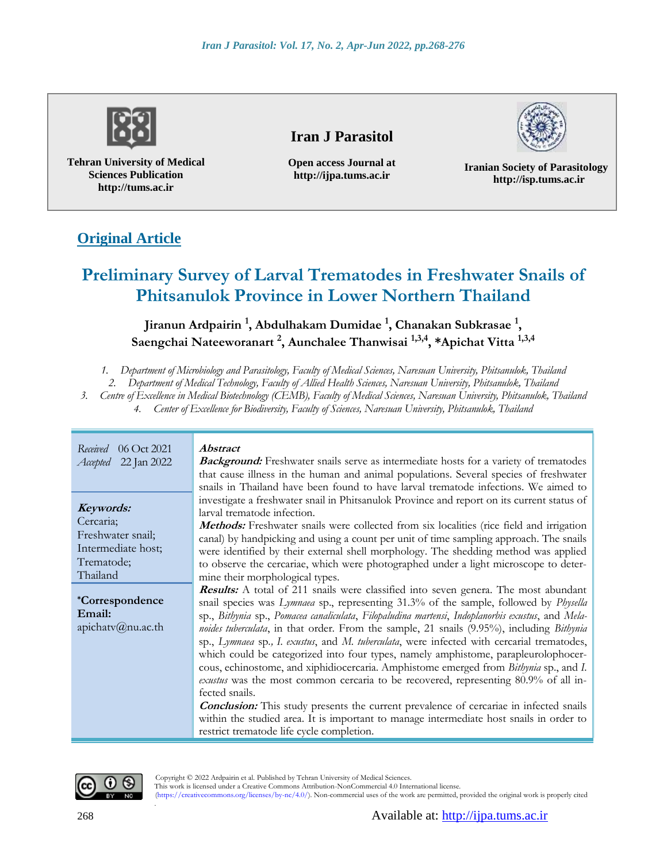

**Tehran University of Medical Sciences Publication http://tums.ac.ir**

## **Iran J Parasitol**

**Open access Journal at http://ijpa.tums.ac.ir**

**Iranian Society of Parasitology http://isp.tums.ac.ir**

## **Original Article**

# **Preliminary Survey of Larval Trematodes in Freshwater Snails of Phitsanulok Province in Lower Northern Thailand**

## **Jiranun Ardpairin <sup>1</sup> , Abdulhakam Dumidae <sup>1</sup> , Chanakan Subkrasae <sup>1</sup> , Saengchai Nateeworanart <sup>2</sup> , Aunchalee Thanwisai 1,3,4, \*Apichat Vitta 1,3,4**

*1. Department of Microbiology and Parasitology, Faculty of Medical Sciences, Naresuan University, Phitsanulok, Thailand*

*2. Department of Medical Technology, Faculty of Allied Health Sciences, Naresuan University, Phitsanulok, Thailand*

*3. Centre of Excellence in Medical Biotechnology (CEMB), Faculty of Medical Sciences, Naresuan University, Phitsanulok, Thailand 4. Center of Excellence for Biodiversity, Faculty of Sciences, Naresuan University, Phitsanulok, Thailand*

| 06 Oct 2021<br>Received<br>Accepted 22 Jan 2022                                             | <i><b>Abstract</b></i><br><b>Background:</b> Freshwater snails serve as intermediate hosts for a variety of trematodes<br>that cause illness in the human and animal populations. Several species of freshwater<br>snails in Thailand have been found to have larval trematode infections. We aimed to                                                                                                                                                                                                                                                                                                                                                                                                                                                                                                                                                                                                                                                                                                                             |
|---------------------------------------------------------------------------------------------|------------------------------------------------------------------------------------------------------------------------------------------------------------------------------------------------------------------------------------------------------------------------------------------------------------------------------------------------------------------------------------------------------------------------------------------------------------------------------------------------------------------------------------------------------------------------------------------------------------------------------------------------------------------------------------------------------------------------------------------------------------------------------------------------------------------------------------------------------------------------------------------------------------------------------------------------------------------------------------------------------------------------------------|
| Keywords:<br>Cercaria;<br>Freshwater snail;<br>Intermediate host;<br>Trematode;<br>Thailand | investigate a freshwater snail in Phitsanulok Province and report on its current status of<br>larval trematode infection.<br><b>Methods:</b> Freshwater snails were collected from six localities (rice field and irrigation<br>canal) by handpicking and using a count per unit of time sampling approach. The snails<br>were identified by their external shell morphology. The shedding method was applied<br>to observe the cercariae, which were photographed under a light microscope to deter-<br>mine their morphological types.                                                                                                                                                                                                                                                                                                                                                                                                                                                                                           |
| <i>*Correspondence</i><br>Email:<br>apichatv@nu.ac.th                                       | <b>Results:</b> A total of 211 snails were classified into seven genera. The most abundant<br>snail species was Lymnaea sp., representing 31.3% of the sample, followed by Physella<br>sp., Bithynia sp., Pomacea canaliculata, Filopaludina martensi, Indoplanorbis exustus, and Mela-<br>noides tuberculata, in that order. From the sample, 21 snails (9.95%), including Bithynia<br>sp., Lymnaea sp., I. exustus, and M. tuberculata, were infected with cercarial trematodes,<br>which could be categorized into four types, namely amphistome, parapleurolophocer-<br>cous, echinostome, and xiphidiocercaria. Amphistome emerged from <i>Bithynia</i> sp., and <i>I</i> .<br>exustus was the most common cercaria to be recovered, representing 80.9% of all in-<br>fected snails.<br><b>Conclusion:</b> This study presents the current prevalence of cercariae in infected snails<br>within the studied area. It is important to manage intermediate host snails in order to<br>restrict trematode life cycle completion. |



Copyright © 2022 Ardpairin et al. Published by Tehran University of Medical Sciences.

This work is licensed under a Creative Commons Attribution-NonCommercial 4.0 International license.

 (https://creativecommons.org/licenses/by-nc/4.0/). Non-commercial uses of the work are permitted, provided the original work is properly cited .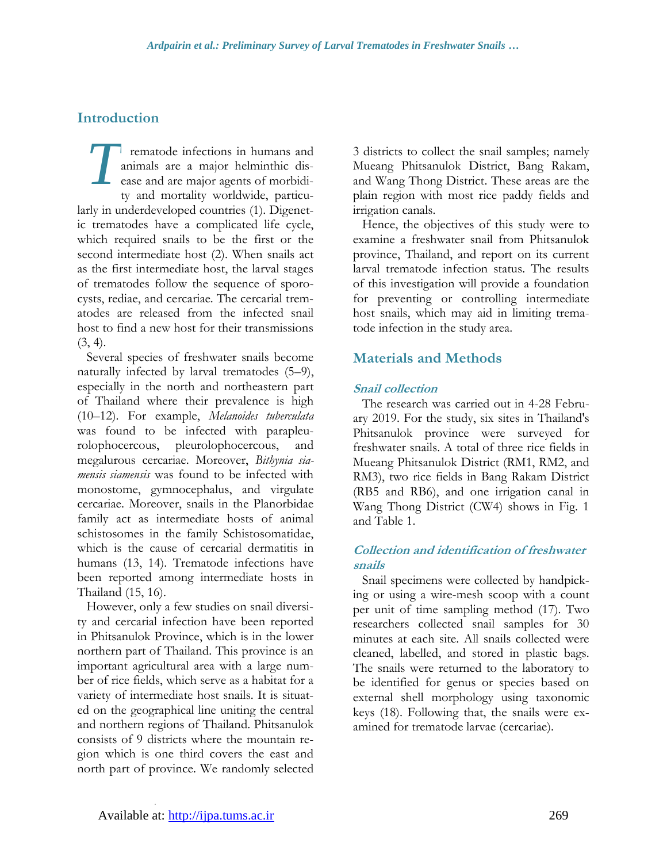## **Introduction**

rematode infections in humans and animals are a major helminthic disease and are major agents of morbidity and mortality worldwide, particularly in underdeveloped countries (1). Digenetic trematodes have a complicated life cycle, which required snails to be the first or the second intermediate host (2). When snails act as the first intermediate host, the larval stages of trematodes follow the sequence of sporocysts, rediae, and cercariae. The cercarial trematodes are released from the infected snail host to find a new host for their transmissions  $(3, 4)$ . *T*

Several species of freshwater snails become naturally infected by larval trematodes (5–9), especially in the north and northeastern part of Thailand where their prevalence is high (10–12). For example, *Melanoides tuberculata* was found to be infected with parapleurolophocercous, pleurolophocercous, and megalurous cercariae. Moreover, *Bithynia siamensis siamensis* was found to be infected with monostome, gymnocephalus, and virgulate cercariae. Moreover, snails in the Planorbidae family act as intermediate hosts of animal schistosomes in the family Schistosomatidae, which is the cause of cercarial dermatitis in humans (13, 14). Trematode infections have been reported among intermediate hosts in Thailand (15, 16).

However, only a few studies on snail diversity and cercarial infection have been reported in Phitsanulok Province, which is in the lower northern part of Thailand. This province is an important agricultural area with a large number of rice fields, which serve as a habitat for a variety of intermediate host snails. It is situated on the geographical line uniting the central and northern regions of Thailand. Phitsanulok consists of 9 districts where the mountain region which is one third covers the east and north part of province. We randomly selected 3 districts to collect the snail samples; namely Mueang Phitsanulok District, Bang Rakam, and Wang Thong District. These areas are the plain region with most rice paddy fields and irrigation canals.

Hence, the objectives of this study were to examine a freshwater snail from Phitsanulok province, Thailand, and report on its current larval trematode infection status. The results of this investigation will provide a foundation for preventing or controlling intermediate host snails, which may aid in limiting trematode infection in the study area.

## **Materials and Methods**

#### **Snail collection**

The research was carried out in 4-28 February 2019. For the study, six sites in Thailand's Phitsanulok province were surveyed for freshwater snails. A total of three rice fields in Mueang Phitsanulok District (RM1, RM2, and RM3), two rice fields in Bang Rakam District (RB5 and RB6), and one irrigation canal in Wang Thong District (CW4) shows in Fig. 1 and Table 1.

#### **Collection and identification of freshwater snails**

Snail specimens were collected by handpicking or using a wire-mesh scoop with a count per unit of time sampling method (17). Two researchers collected snail samples for 30 minutes at each site. All snails collected were cleaned, labelled, and stored in plastic bags. The snails were returned to the laboratory to be identified for genus or species based on external shell morphology using taxonomic keys (18). Following that, the snails were examined for trematode larvae (cercariae).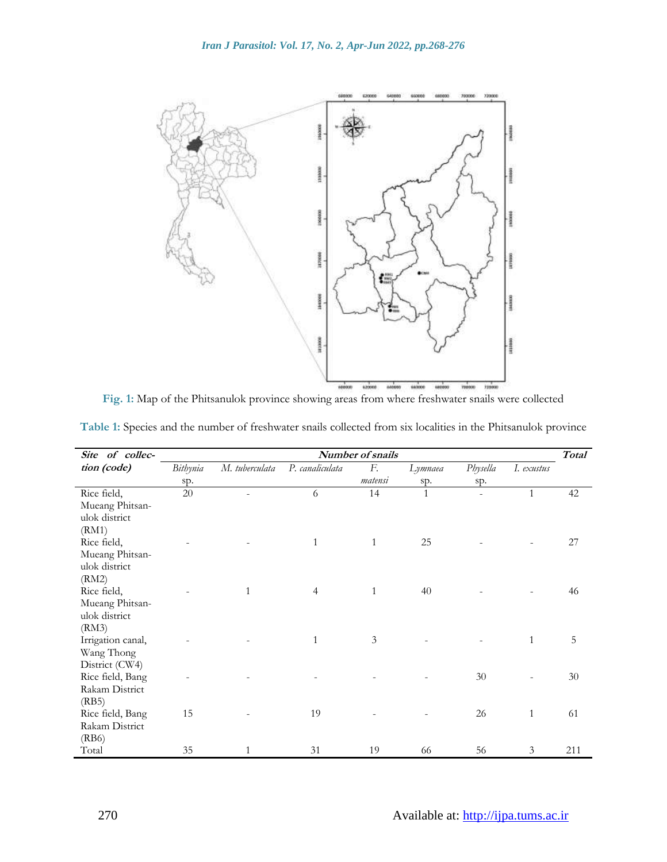

**Fig. 1:** Map of the Phitsanulok province showing areas from where freshwater snails were collected

| Site of collec-            | Number of snails |                |                 |                |              |          | <b>Total</b> |     |
|----------------------------|------------------|----------------|-----------------|----------------|--------------|----------|--------------|-----|
| tion (code)                | Bithynia         | M. tuberculata | P. canaliculata | F.             | Lymnaea      | Physella | I. exustus   |     |
|                            | sp.              |                |                 | matensi        | sp.          | sp.      |              |     |
| Rice field,                | $20\,$           |                | 6               | 14             | $\mathbf{1}$ |          | $\mathbf{1}$ | 42  |
| Mueang Phitsan-            |                  |                |                 |                |              |          |              |     |
| ulok district              |                  |                |                 |                |              |          |              |     |
| (RM1)                      |                  |                |                 |                |              |          |              |     |
| Rice field,                |                  |                | $\mathbf{1}$    | $\mathbf{1}$   | 25           |          |              | 27  |
| Mueang Phitsan-            |                  |                |                 |                |              |          |              |     |
| ulok district              |                  |                |                 |                |              |          |              |     |
| (RM2)                      |                  |                |                 |                |              |          |              |     |
| Rice field,                |                  | 1              | $\overline{4}$  | $\mathbf{1}$   | 40           |          |              | 46  |
| Mueang Phitsan-            |                  |                |                 |                |              |          |              |     |
| ulok district              |                  |                |                 |                |              |          |              |     |
| (RM3)<br>Irrigation canal, |                  |                | $\mathbf{1}$    | $\mathfrak{Z}$ |              |          | $\mathbf{1}$ | 5   |
| Wang Thong                 |                  |                |                 |                |              |          |              |     |
| District (CW4)             |                  |                |                 |                |              |          |              |     |
| Rice field, Bang           |                  |                |                 |                |              | 30       |              | 30  |
| Rakam District             |                  |                |                 |                |              |          |              |     |
| (RB5)                      |                  |                |                 |                |              |          |              |     |
| Rice field, Bang           | 15               |                | 19              |                |              | 26       | $\mathbf{1}$ | 61  |
| Rakam District             |                  |                |                 |                |              |          |              |     |
| (RB6)                      |                  |                |                 |                |              |          |              |     |
| Total                      | 35               | 1              | 31              | 19             | 66           | 56       | 3            | 211 |

**Table 1:** Species and the number of freshwater snails collected from six localities in the Phitsanulok province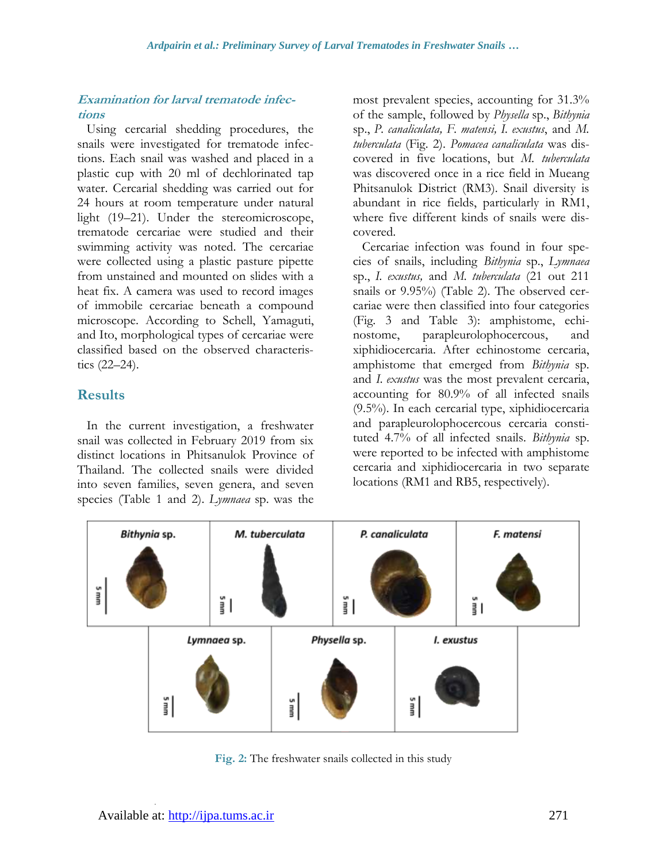#### **Examination for larval trematode infections**

Using cercarial shedding procedures, the snails were investigated for trematode infections. Each snail was washed and placed in a plastic cup with 20 ml of dechlorinated tap water. Cercarial shedding was carried out for 24 hours at room temperature under natural light (19–21). Under the stereomicroscope, trematode cercariae were studied and their swimming activity was noted. The cercariae were collected using a plastic pasture pipette from unstained and mounted on slides with a heat fix. A camera was used to record images of immobile cercariae beneath a compound microscope. According to Schell, Yamaguti, and Ito, morphological types of cercariae were classified based on the observed characteristics (22–24).

## **Results**

In the current investigation, a freshwater snail was collected in February 2019 from six distinct locations in Phitsanulok Province of Thailand. The collected snails were divided into seven families, seven genera, and seven species (Table 1 and 2). *Lymnaea* sp. was the most prevalent species, accounting for 31.3% of the sample, followed by *Physella* sp., *Bithynia*  sp., *P. canaliculata, F. matensi, I. exustus*, and *M. tuberculata* (Fig. 2). *Pomacea canaliculata* was discovered in five locations, but *M. tuberculata*  was discovered once in a rice field in Mueang Phitsanulok District (RM3). Snail diversity is abundant in rice fields, particularly in RM1, where five different kinds of snails were discovered.

Cercariae infection was found in four species of snails, including *Bithynia* sp., *Lymnaea*  sp., *I. exustus,* and *M. tuberculata* (21 out 211 snails or 9.95%) (Table 2). The observed cercariae were then classified into four categories (Fig. 3 and Table 3): amphistome, echinostome, parapleurolophocercous, and xiphidiocercaria. After echinostome cercaria, amphistome that emerged from *Bithynia* sp. and *I. exustus* was the most prevalent cercaria, accounting for 80.9% of all infected snails (9.5%). In each cercarial type, xiphidiocercaria and parapleurolophocercous cercaria constituted 4.7% of all infected snails. *Bithynia* sp. were reported to be infected with amphistome cercaria and xiphidiocercaria in two separate locations (RM1 and RB5, respectively).



**Fig. 2:** The freshwater snails collected in this study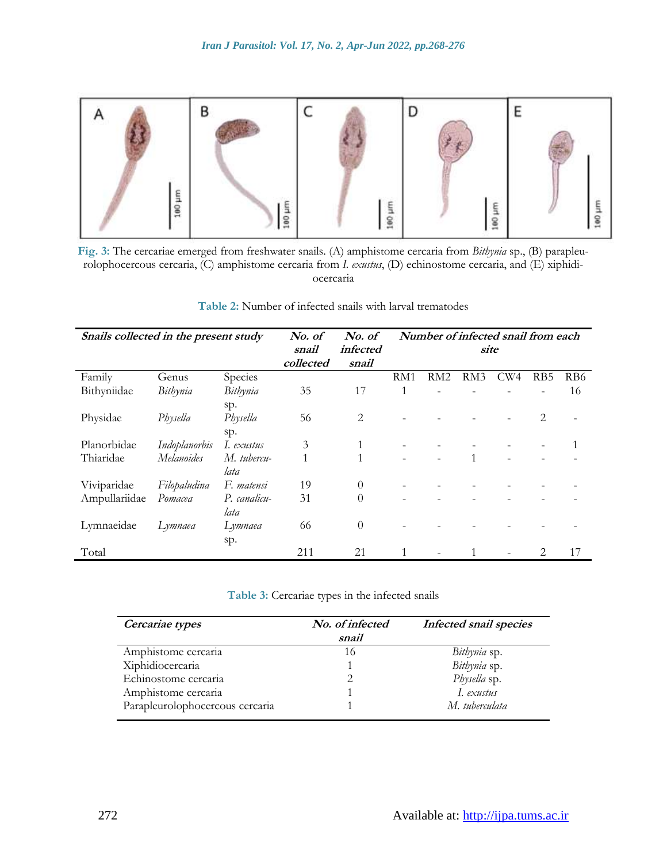

**Fig. 3:** The cercariae emerged from freshwater snails. (A) amphistome cercaria from *Bithynia* sp., (B) parapleurolophocercous cercaria, (C) amphistome cercaria from *I. exustus*, (D) echinostome cercaria, and (E) xiphidiocercaria

| Table 2: Number of infected snails with larval trematodes |  |  |
|-----------------------------------------------------------|--|--|
|-----------------------------------------------------------|--|--|

| Snails collected in the present study |               | No. of       | No. of    | Number of infected snail from each |     |     |     |                 |                 |     |
|---------------------------------------|---------------|--------------|-----------|------------------------------------|-----|-----|-----|-----------------|-----------------|-----|
|                                       |               | snail        | infected  | site                               |     |     |     |                 |                 |     |
|                                       |               |              | collected | snail                              |     |     |     |                 |                 |     |
| Family                                | Genus         | Species      |           |                                    | RM1 | RM2 | RM3 | CW <sub>4</sub> | R <sub>B5</sub> | RB6 |
| Bithyniidae                           | Bithynia      | Bithynia     | 35        | 17                                 | 1   |     |     |                 |                 | 16  |
|                                       |               | sp.          |           |                                    |     |     |     |                 |                 |     |
| Physidae                              | Physella      | Physella     | 56        | 2                                  |     |     |     |                 | 2               |     |
|                                       |               | sp.          |           |                                    |     |     |     |                 |                 |     |
| Planorbidae                           | Indoplanorbis | I. exustus   | 3         | $\mathbf{1}$                       |     |     |     |                 |                 |     |
| Thiaridae                             | Melanoides    | M. tubercu-  | 1         | 1                                  |     |     |     |                 |                 |     |
|                                       |               | lata         |           |                                    |     |     |     |                 |                 |     |
| Viviparidae                           | Filopaludina  | F. matensi   | 19        | $\theta$                           |     |     |     |                 |                 |     |
| Ampullariidae                         | Pomacea       | P. canalicu- | 31        | $\theta$                           |     |     |     |                 |                 |     |
|                                       |               | lata         |           |                                    |     |     |     |                 |                 |     |
| Lymnaeidae                            | Lymnaea       | Lymnaea      | 66        | $\theta$                           |     |     |     |                 |                 |     |
|                                       |               | sp.          |           |                                    |     |     |     |                 |                 |     |
| Total                                 |               |              | 211       | 21                                 |     |     |     |                 | 2               | 17  |

**Table 3:** Cercariae types in the infected snails

| Cercariae types                 | No. of infected<br>snail | Infected snail species |
|---------------------------------|--------------------------|------------------------|
| Amphistome cercaria             | 16                       | Bithynia sp.           |
| Xiphidiocercaria                |                          | Bithynia sp.           |
| Echinostome cercaria            |                          | Physella sp.           |
| Amphistome cercaria             |                          | I. exustus             |
| Parapleurolophocercous cercaria |                          | M. tuberculata         |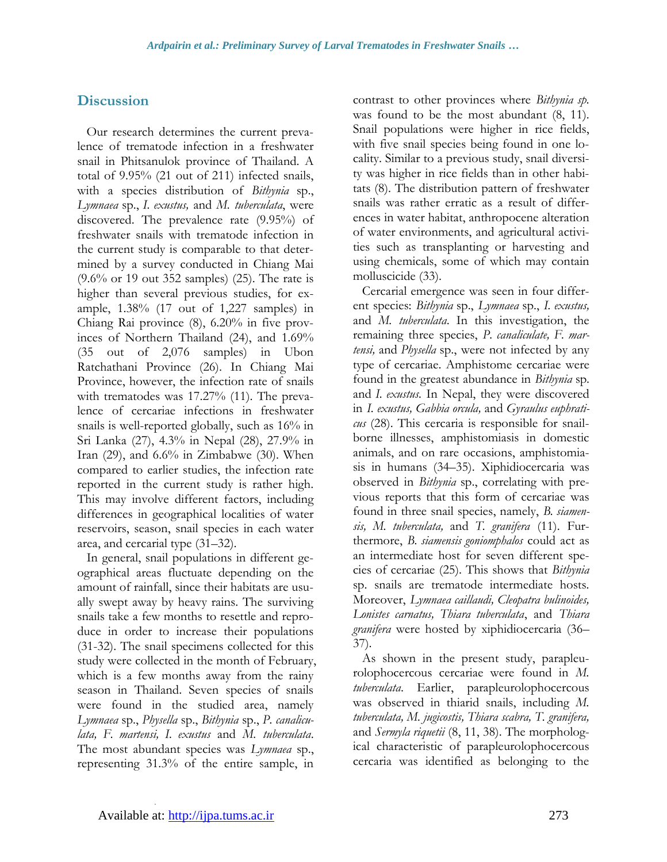## **Discussion**

Our research determines the current prevalence of trematode infection in a freshwater snail in Phitsanulok province of Thailand. A total of 9.95% (21 out of 211) infected snails, with a species distribution of *Bithynia* sp., *Lymnaea* sp., *I. exustus,* and *M. tuberculata*, were discovered. The prevalence rate (9.95%) of freshwater snails with trematode infection in the current study is comparable to that determined by a survey conducted in Chiang Mai (9.6% or 19 out 352 samples) (25). The rate is higher than several previous studies, for example, 1.38% (17 out of 1,227 samples) in Chiang Rai province (8), 6.20% in five provinces of Northern Thailand (24), and 1.69% (35 out of 2,076 samples) in Ubon Ratchathani Province (26). In Chiang Mai Province, however, the infection rate of snails with trematodes was 17.27% (11). The prevalence of cercariae infections in freshwater snails is well-reported globally, such as 16% in Sri Lanka (27), 4.3% in Nepal (28), 27.9% in Iran  $(29)$ , and  $6.6\%$  in Zimbabwe  $(30)$ . When compared to earlier studies, the infection rate reported in the current study is rather high. This may involve different factors, including differences in geographical localities of water reservoirs, season, snail species in each water area, and cercarial type (31–32).

In general, snail populations in different geographical areas fluctuate depending on the amount of rainfall, since their habitats are usually swept away by heavy rains. The surviving snails take a few months to resettle and reproduce in order to increase their populations (31-32). The snail specimens collected for this study were collected in the month of February, which is a few months away from the rainy season in Thailand. Seven species of snails were found in the studied area, namely *Lymnaea* sp., *Physella* sp., *Bithynia* sp., *P. canaliculata, F. martensi, I. exustus* and *M. tuberculata*. The most abundant species was *Lymnaea* sp., representing 31.3% of the entire sample, in

contrast to other provinces where *Bithynia sp.* was found to be the most abundant (8, 11). Snail populations were higher in rice fields, with five snail species being found in one locality. Similar to a previous study, snail diversity was higher in rice fields than in other habitats (8). The distribution pattern of freshwater snails was rather erratic as a result of differences in water habitat, anthropocene alteration of water environments, and agricultural activities such as transplanting or harvesting and using chemicals, some of which may contain molluscicide (33).

Cercarial emergence was seen in four different species: *Bithynia* sp., *Lymnaea* sp., *I. exustus,* and *M. tuberculata*. In this investigation, the remaining three species, *P. canaliculate, F. martensi,* and *Physella* sp., were not infected by any type of cercariae. Amphistome cercariae were found in the greatest abundance in *Bithynia* sp. and *I. exustus.* In Nepal, they were discovered in *I. exustus, Gabbia orcula,* and *Gyraulus euphraticus* (28). This cercaria is responsible for snailborne illnesses, amphistomiasis in domestic animals, and on rare occasions, amphistomiasis in humans (34–35). Xiphidiocercaria was observed in *Bithynia* sp., correlating with previous reports that this form of cercariae was found in three snail species, namely, *B. siamensis, M. tuberculata,* and *T. granifera* (11). Furthermore, *B. siamensis goniomphalos* could act as an intermediate host for seven different species of cercariae (25). This shows that *Bithynia*  sp. snails are trematode intermediate hosts. Moreover, *Lymnaea caillaudi, Cleopatra bulinoides, Lonistes carnatus, Thiara tuberculata*, and *Thiara granifera* were hosted by xiphidiocercaria (36– 37).

As shown in the present study, parapleurolophocercous cercariae were found in *M. tuberculata*. Earlier, parapleurolophocercous was observed in thiarid snails, including *M. tuberculata, M. jugicostis, Thiara scabra, T. granifera,* and *Sermyla riquetii* (8, 11, 38). The morphological characteristic of parapleurolophocercous cercaria was identified as belonging to the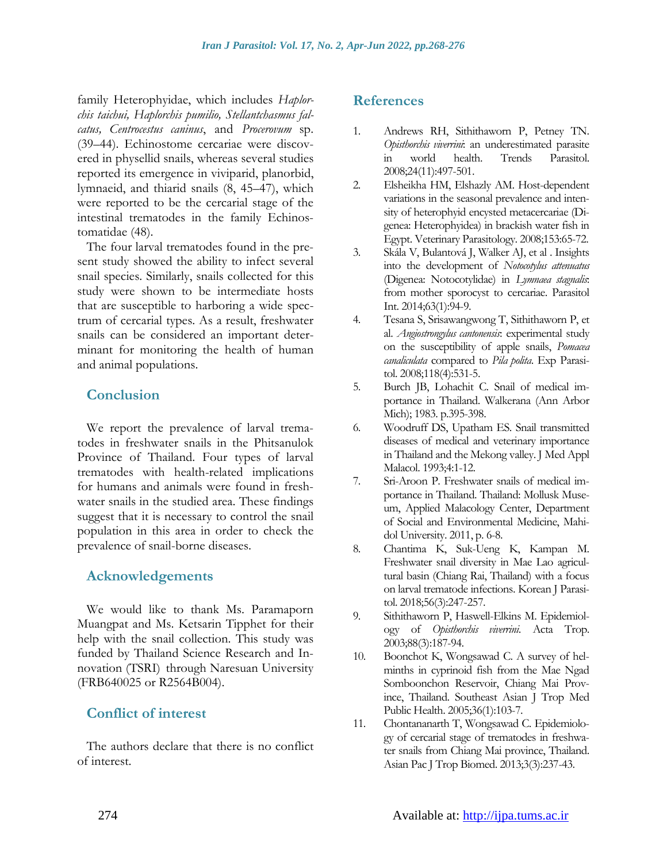family Heterophyidae, which includes *Haplorchis taichui, Haplorchis pumilio, Stellantchasmus falcatus, Centrocestus caninus*, and *Procerovum* sp. (39–44). Echinostome cercariae were discovered in physellid snails, whereas several studies reported its emergence in viviparid, planorbid, lymnaeid, and thiarid snails (8, 45–47), which were reported to be the cercarial stage of the intestinal trematodes in the family Echinostomatidae (48).

The four larval trematodes found in the present study showed the ability to infect several snail species. Similarly, snails collected for this study were shown to be intermediate hosts that are susceptible to harboring a wide spectrum of cercarial types. As a result, freshwater snails can be considered an important determinant for monitoring the health of human and animal populations.

## **Conclusion**

We report the prevalence of larval trematodes in freshwater snails in the Phitsanulok Province of Thailand. Four types of larval trematodes with health-related implications for humans and animals were found in freshwater snails in the studied area. These findings suggest that it is necessary to control the snail population in this area in order to check the prevalence of snail-borne diseases.

## **Acknowledgements**

We would like to thank Ms. Paramaporn Muangpat and Ms. Ketsarin Tipphet for their help with the snail collection. This study was funded by Thailand Science Research and Innovation (TSRI) through Naresuan University (FRB640025 or R2564B004).

## **Conflict of interest**

The authors declare that there is no conflict of interest.

## **References**

- 1. Andrews RH, Sithithaworn P, Petney TN. *Opisthorchis viverrini*: an underestimated parasite in world health. Trends Parasitol. 2008;24(11):497-501.
- 2. Elsheikha HM, Elshazly AM. Host-dependent variations in the seasonal prevalence and intensity of heterophyid encysted metacercariae (Digenea: Heterophyidea) in brackish water fish in Egypt. Veterinary Parasitology. 2008;153:65-72.
- 3. Skála V, Bulantová J, Walker AJ, et al . Insights into the development of *Notocotylus attenuatus* (Digenea: Notocotylidae) in *Lymnaea stagnalis*: from mother sporocyst to cercariae. Parasitol Int. 2014;63(1):94-9.
- 4. Tesana S, Srisawangwong T, Sithithaworn P, et al. *Angiostrongylus cantonensis*: experimental study on the susceptibility of apple snails, *Pomacea canaliculata* compared to *Pila polita*. Exp Parasitol. 2008;118(4):531-5.
- 5. Burch JB, Lohachit C. Snail of medical importance in Thailand. Walkerana (Ann Arbor Mich); 1983. p.395-398.
- 6. Woodruff DS, Upatham ES. Snail transmitted diseases of medical and veterinary importance in Thailand and the Mekong valley. J Med Appl Malacol. 1993;4:1-12.
- 7. Sri-Aroon P. Freshwater snails of medical importance in Thailand. Thailand: Mollusk Museum, Applied Malacology Center, Department of Social and Environmental Medicine, Mahidol University. 2011, p. 6-8.
- 8. Chantima K, Suk-Ueng K, Kampan M. Freshwater snail diversity in Mae Lao agricultural basin (Chiang Rai, Thailand) with a focus on larval trematode infections. Korean J Parasitol. 2018;56(3):247-257.
- 9. Sithithaworn P, Haswell-Elkins M. Epidemiology of *Opisthorchis viverrini*. Acta Trop. 2003;88(3):187-94.
- 10. Boonchot K, Wongsawad C. A survey of helminths in cyprinoid fish from the Mae Ngad Somboonchon Reservoir, Chiang Mai Province, Thailand. Southeast Asian J Trop Med Public Health. 2005;36(1):103-7.
- 11. Chontananarth T, Wongsawad C. Epidemiology of cercarial stage of trematodes in freshwater snails from Chiang Mai province, Thailand. Asian Pac J Trop Biomed. 2013;3(3):237-43.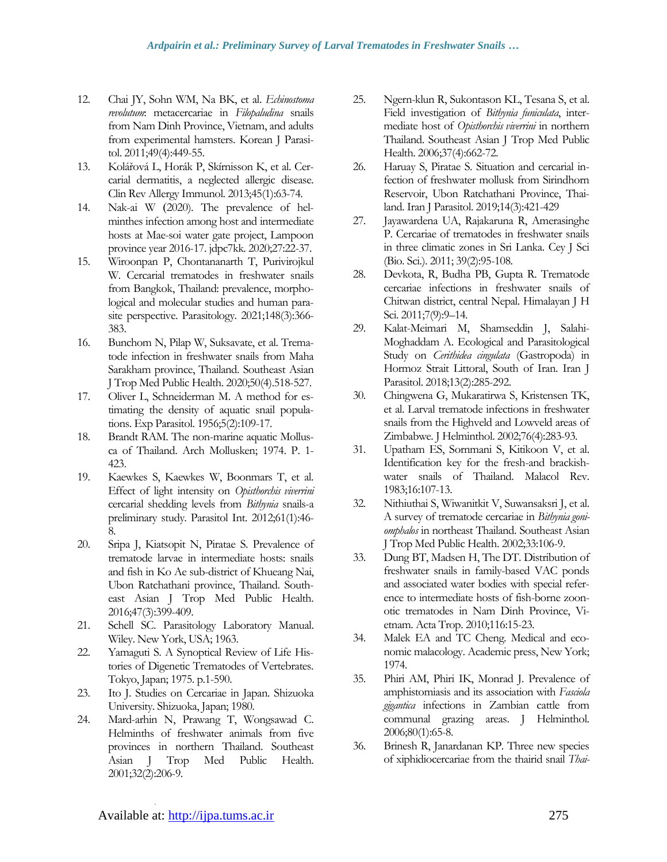- 12. Chai JY, Sohn WM, Na BK, et al. *Echinostoma revolutum*: metacercariae in *Filopaludina* snails from Nam Dinh Province, Vietnam, and adults from experimental hamsters. Korean J Parasitol. 2011;49(4):449-55.
- 13. Kolářová L, Horák P, Skírnisson K, et al. Cercarial dermatitis, a neglected allergic disease. Clin Rev Allergy Immunol. 2013;45(1):63-74.
- 14. Nak-ai W (2020). The prevalence of helminthes infection among host and intermediate hosts at Mae-soi water gate project, Lampoon province year 2016-17. jdpc7kk*.* 2020;27:22-37.
- 15. Wiroonpan P, Chontananarth T, Purivirojkul W. Cercarial trematodes in freshwater snails from Bangkok, Thailand: prevalence, morphological and molecular studies and human parasite perspective. Parasitology. 2021;148(3):366- 383.
- 16. Bunchom N, Pilap W, Suksavate, et al. Trematode infection in freshwater snails from Maha Sarakham province, Thailand. Southeast Asian J Trop Med Public Health. 2020;50(4).518-527.
- 17. Oliver L, Schneiderman M. A method for estimating the density of aquatic snail populations. Exp Parasitol. 1956;5(2):109-17.
- 18. Brandt RAM. The non-marine aquatic Mollusca of Thailand. Arch Mollusken; 1974. P. 1- 423.
- 19. Kaewkes S, Kaewkes W, Boonmars T, et al. Effect of light intensity on *Opisthorchis viverrini* cercarial shedding levels from *Bithynia* snails-a preliminary study. Parasitol Int. 2012;61(1):46- 8.
- 20. Sripa J, Kiatsopit N, Piratae S. Prevalence of trematode larvae in intermediate hosts: snails and fish in Ko Ae sub-district of Khueang Nai, Ubon Ratchathani province, Thailand. Southeast Asian J Trop Med Public Health. 2016;47(3):399-409.
- 21. Schell SC. Parasitology Laboratory Manual. Wiley. New York, USA; 1963.
- 22. Yamaguti S. A Synoptical Review of Life Histories of Digenetic Trematodes of Vertebrates. Tokyo, Japan; 1975. p.1-590.
- 23. Ito J. Studies on Cercariae in Japan. Shizuoka University. Shizuoka, Japan; 1980.
- 24. Mard-arhin N, Prawang T, Wongsawad C. Helminths of freshwater animals from five provinces in northern Thailand. Southeast Asian J Trop Med Public Health. 2001;32(2):206-9.
- 25. Ngern-klun R, Sukontason KL, Tesana S, et al. Field investigation of *Bithynia funiculata*, intermediate host of *Opisthorchis viverrini* in northern Thailand. Southeast Asian J Trop Med Public Health. 2006;37(4):662-72.
- 26. Haruay S, Piratae S. Situation and cercarial infection of freshwater mollusk from Sirindhorn Reservoir, Ubon Ratchathani Province, Thailand. Iran J Parasitol. 2019;14(3):421-429
- 27. Jayawardena UA, Rajakaruna R, Amerasinghe P. Cercariae of trematodes in freshwater snails in three climatic zones in Sri Lanka. Cey J Sci (Bio. Sci.). 2011; 39(2):95-108.
- 28. Devkota, R, Budha PB, Gupta R. Trematode cercariae infections in freshwater snails of Chitwan district, central Nepal. Himalayan J H Sci. 2011;7(9):9–14.
- 29. Kalat-Meimari M, Shamseddin J, Salahi-Moghaddam A. Ecological and Parasitological Study on *Cerithidea cingulata* (Gastropoda) in Hormoz Strait Littoral, South of Iran. Iran J Parasitol. 2018;13(2):285-292.
- 30. Chingwena G, Mukaratirwa S, Kristensen TK, et al. Larval trematode infections in freshwater snails from the Highveld and Lowveld areas of Zimbabwe. J Helminthol. 2002;76(4):283-93.
- 31. Upatham ES, Sornmani S, Kitikoon V, et al. Identification key for the fresh-and brackishwater snails of Thailand. Malacol Rev. 1983;16:107-13.
- 32. Nithiuthai S, Wiwanitkit V, Suwansaksri J, et al. A survey of trematode cercariae in *Bithynia goniomphalos* in northeast Thailand. Southeast Asian J Trop Med Public Health. 2002;33:106-9.
- 33. Dung BT, Madsen H, The DT. Distribution of freshwater snails in family-based VAC ponds and associated water bodies with special reference to intermediate hosts of fish-borne zoonotic trematodes in Nam Dinh Province, Vietnam. Acta Trop. 2010;116:15-23.
- 34. Malek EA and TC Cheng. Medical and economic malacology. Academic press, New York; 1974.
- 35. Phiri AM, Phiri IK, Monrad J. Prevalence of amphistomiasis and its association with *Fasciola gigantica* infections in Zambian cattle from communal grazing areas. J Helminthol. 2006;80(1):65-8.
- 36. Brinesh R, Janardanan KP. Three new species of xiphidiocercariae from the thairid snail *Thai-*